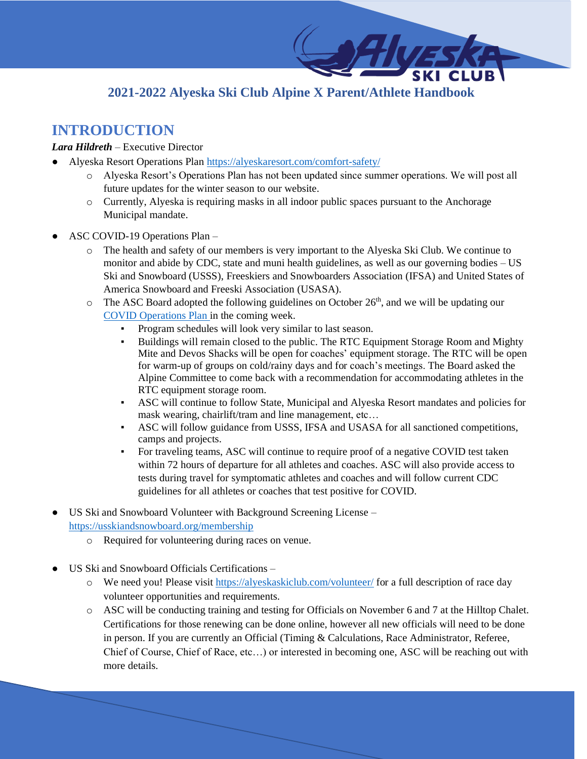# **2021-2022 Alyeska Ski Club Alpine X Parent/Athlete Handbook**

# **INTRODUCTION**

### *Lara Hildreth* – Executive Director

- Alyeska Resort Operations Plan<https://alyeskaresort.com/comfort-safety/>
	- o Alyeska Resort's Operations Plan has not been updated since summer operations. We will post all future updates for the winter season to our website.
	- o Currently, Alyeska is requiring masks in all indoor public spaces pursuant to the Anchorage Municipal mandate.
- ASC COVID-19 Operations Plan
	- o The health and safety of our members is very important to the Alyeska Ski Club. We continue to monitor and abide by CDC, state and muni health guidelines, as well as our governing bodies – US Ski and Snowboard (USSS), Freeskiers and Snowboarders Association (IFSA) and United States of America Snowboard and Freeski Association (USASA).
	- $\circ$  The ASC Board adopted the following guidelines on October 26<sup>th</sup>, and we will be updating our [COVID Operations Plan i](https://alyeskaskiclub.com/covid-19-operations-plan/)n the coming week.
		- Program schedules will look very similar to last season.
		- Buildings will remain closed to the public. The RTC Equipment Storage Room and Mighty Mite and Devos Shacks will be open for coaches' equipment storage. The RTC will be open for warm-up of groups on cold/rainy days and for coach's meetings. The Board asked the Alpine Committee to come back with a recommendation for accommodating athletes in the RTC equipment storage room.
		- ASC will continue to follow State, Municipal and Alyeska Resort mandates and policies for mask wearing, chairlift/tram and line management, etc…
		- ASC will follow guidance from USSS, IFSA and USASA for all sanctioned competitions, camps and projects.
		- For traveling teams, ASC will continue to require proof of a negative COVID test taken within 72 hours of departure for all athletes and coaches. ASC will also provide access to tests during travel for symptomatic athletes and coaches and will follow current CDC guidelines for all athletes or coaches that test positive for COVID.
- US Ski and Snowboard Volunteer with Background Screening License <https://usskiandsnowboard.org/membership>
	- o Required for volunteering during races on venue.
- US Ski and Snowboard Officials Certifications
	- o We need you! Please visit<https://alyeskaskiclub.com/volunteer/> for a full description of race day volunteer opportunities and requirements.
	- o ASC will be conducting training and testing for Officials on November 6 and 7 at the Hilltop Chalet. Certifications for those renewing can be done online, however all new officials will need to be done in person. If you are currently an Official (Timing & Calculations, Race Administrator, Referee, Chief of Course, Chief of Race, etc…) or interested in becoming one, ASC will be reaching out with more details.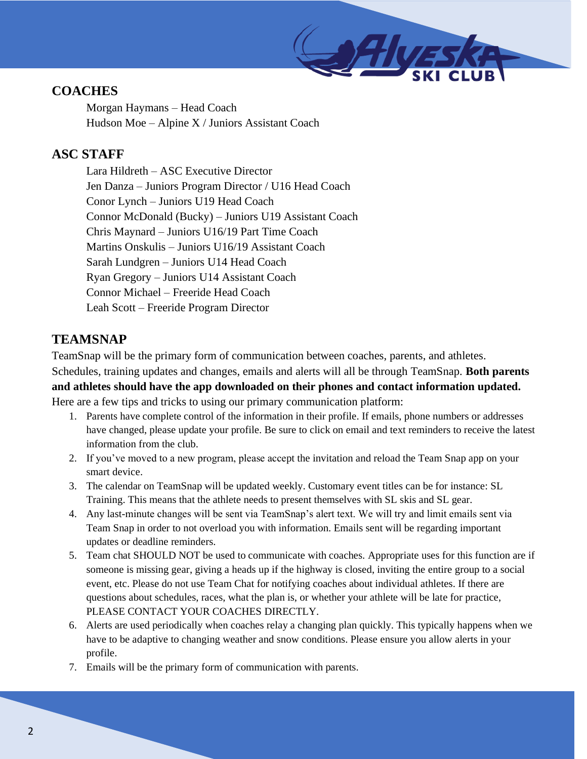

# **COACHES**

Morgan Haymans – Head Coach Hudson Moe – Alpine X / Juniors Assistant Coach

## **ASC STAFF**

Lara Hildreth – ASC Executive Director Jen Danza – Juniors Program Director / U16 Head Coach Conor Lynch – Juniors U19 Head Coach Connor McDonald (Bucky) – Juniors U19 Assistant Coach Chris Maynard – Juniors U16/19 Part Time Coach Martins Onskulis – Juniors U16/19 Assistant Coach Sarah Lundgren – Juniors U14 Head Coach Ryan Gregory – Juniors U14 Assistant Coach Connor Michael – Freeride Head Coach Leah Scott – Freeride Program Director

# **TEAMSNAP**

TeamSnap will be the primary form of communication between coaches, parents, and athletes. Schedules, training updates and changes, emails and alerts will all be through TeamSnap. **Both parents and athletes should have the app downloaded on their phones and contact information updated.**  Here are a few tips and tricks to using our primary communication platform:

- 1. Parents have complete control of the information in their profile. If emails, phone numbers or addresses have changed, please update your profile. Be sure to click on email and text reminders to receive the latest information from the club.
- 2. If you've moved to a new program, please accept the invitation and reload the Team Snap app on your smart device.
- 3. The calendar on TeamSnap will be updated weekly. Customary event titles can be for instance: SL Training. This means that the athlete needs to present themselves with SL skis and SL gear.
- 4. Any last-minute changes will be sent via TeamSnap's alert text. We will try and limit emails sent via Team Snap in order to not overload you with information. Emails sent will be regarding important updates or deadline reminders.
- 5. Team chat SHOULD NOT be used to communicate with coaches. Appropriate uses for this function are if someone is missing gear, giving a heads up if the highway is closed, inviting the entire group to a social event, etc. Please do not use Team Chat for notifying coaches about individual athletes. If there are questions about schedules, races, what the plan is, or whether your athlete will be late for practice, PLEASE CONTACT YOUR COACHES DIRECTLY.
- 6. Alerts are used periodically when coaches relay a changing plan quickly. This typically happens when we have to be adaptive to changing weather and snow conditions. Please ensure you allow alerts in your profile.
- 7. Emails will be the primary form of communication with parents.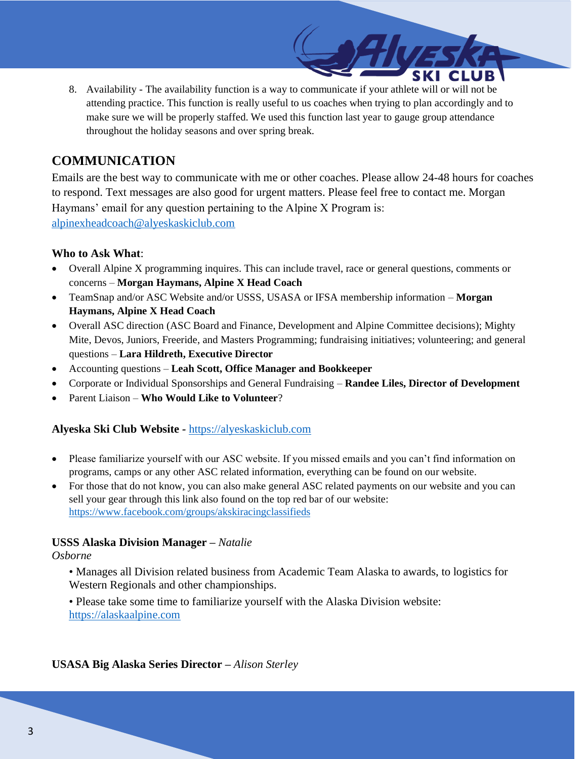8. Availability - The availability function is a way to communicate if your athlete will or will not be attending practice. This function is really useful to us coaches when trying to plan accordingly and to make sure we will be properly staffed. We used this function last year to gauge group attendance throughout the holiday seasons and over spring break.

### **COMMUNICATION**

Emails are the best way to communicate with me or other coaches. Please allow 24-48 hours for coaches to respond. Text messages are also good for urgent matters. Please feel free to contact me. Morgan Haymans' email for any question pertaining to the Alpine X Program is: [alpinexheadcoach@alyeskaskiclub.com](mailto:alpinexheadcoach@alyeskaskiclub.com)

### **Who to Ask What**:

- Overall Alpine X programming inquires. This can include travel, race or general questions, comments or concerns – **Morgan Haymans, Alpine X Head Coach**
- TeamSnap and/or ASC Website and/or USSS, USASA or IFSA membership information **Morgan Haymans, Alpine X Head Coach**
- Overall ASC direction (ASC Board and Finance, Development and Alpine Committee decisions); Mighty Mite, Devos, Juniors, Freeride, and Masters Programming; fundraising initiatives; volunteering; and general questions – **Lara Hildreth, Executive Director**
- Accounting questions **Leah Scott, Office Manager and Bookkeeper**
- Corporate or Individual Sponsorships and General Fundraising **Randee Liles, Director of Development**
- Parent Liaison **Who Would Like to Volunteer**?

### **Alyeska Ski Club Website** *-* [https://alyeskaskiclub.com](https://alyeskaskiclub.com/)

- Please familiarize yourself with our ASC website. If you missed emails and you can't find information on programs, camps or any other ASC related information, everything can be found on our website.
- For those that do not know, you can also make general ASC related payments on our website and you can sell your gear through this link also found on the top red bar of our website: <https://www.facebook.com/groups/akskiracingclassifieds>

### **USSS Alaska Division Manager –** *Natalie*

### *Osborne*

- Manages all Division related business from Academic Team Alaska to awards, to logistics for Western Regionals and other championships.
- Please take some time to familiarize yourself with the Alaska Division website: [https://alaskaalpine.com](https://alaskaalpine.com/)

**USASA Big Alaska Series Director –** *Alison Sterley*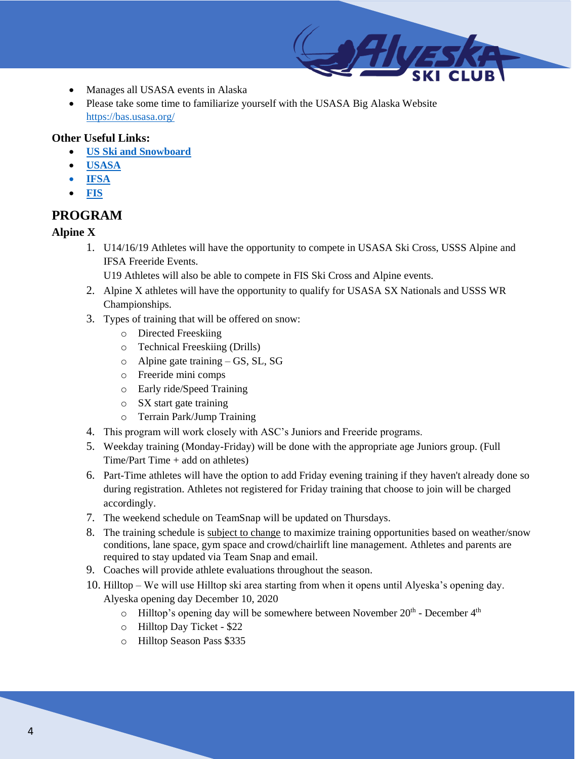- Manages all USASA events in Alaska
- Please take some time to familiarize yourself with the USASA Big Alaska Website <https://bas.usasa.org/>

### **Other Useful Links:**

- **[US Ski and Snowboard](https://usskiandsnowboard.org/)**
- **[USASA](https://usasa.org/)**
- **[IFSA](https://www.freeskiers.org/)**
- **[FIS](https://www.fis-ski.com/)**

## **PROGRAM**

### **Alpine X**

1. U14/16/19 Athletes will have the opportunity to compete in USASA Ski Cross, USSS Alpine and IFSA Freeride Events.

U19 Athletes will also be able to compete in FIS Ski Cross and Alpine events.

- 2. Alpine X athletes will have the opportunity to qualify for USASA SX Nationals and USSS WR Championships.
- 3. Types of training that will be offered on snow:
	- o Directed Freeskiing
	- o Technical Freeskiing (Drills)
	- o Alpine gate training GS, SL, SG
	- o Freeride mini comps
	- o Early ride/Speed Training
	- o SX start gate training
	- o Terrain Park/Jump Training
- 4. This program will work closely with ASC's Juniors and Freeride programs.
- 5. Weekday training (Monday-Friday) will be done with the appropriate age Juniors group. (Full  $Time/Part Time + add on athletes)$
- 6. Part-Time athletes will have the option to add Friday evening training if they haven't already done so during registration. Athletes not registered for Friday training that choose to join will be charged accordingly.
- 7. The weekend schedule on TeamSnap will be updated on Thursdays.
- 8. The training schedule is subject to change to maximize training opportunities based on weather/snow conditions, lane space, gym space and crowd/chairlift line management. Athletes and parents are required to stay updated via Team Snap and email.
- 9. Coaches will provide athlete evaluations throughout the season.
- 10. Hilltop We will use Hilltop ski area starting from when it opens until Alyeska's opening day. Alyeska opening day December 10, 2020
	- $\circ$  Hilltop's opening day will be somewhere between November 20<sup>th</sup> December 4<sup>th</sup>
	- o Hilltop Day Ticket \$22
	- o Hilltop Season Pass \$335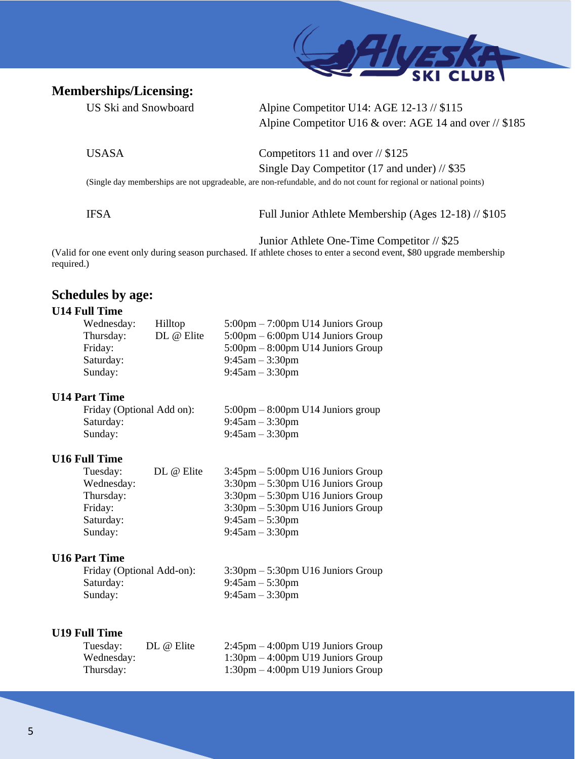### **Memberships/Licensing:**



US Ski and Snowboard Alpine Competitor U14: AGE 12-13 // \$115 Alpine Competitor U16 & over: AGE 14 and over // \$185

USASA Competitors 11 and over // \$125 Single Day Competitor (17 and under) // \$35

(Single day memberships are not upgradeable, are non-refundable, and do not count for regional or national points)

IFSA Full Junior Athlete Membership (Ages 12-18) // \$105

Junior Athlete One-Time Competitor // \$25

(Valid for one event only during season purchased. If athlete choses to enter a second event, \$80 upgrade membership required.)

### **Schedules by age:**

### **U14 Full Time**

| Hilltop    | $5:00 \text{pm} - 7:00 \text{pm}$ U14 Juniors Group |
|------------|-----------------------------------------------------|
| DL @ Elite | $5:00 \text{pm} - 6:00 \text{pm}$ U14 Juniors Group |
|            | $5:00 \text{pm} - 8:00 \text{pm}$ U14 Juniors Group |
|            | $9:45$ am $-3:30$ pm                                |
|            | $9:45$ am $-3:30$ pm                                |
|            |                                                     |

#### **U14 Part Time**

| Friday (Optional Add on): | $5:00 \text{pm} - 8:00 \text{pm}$ U14 Juniors group |
|---------------------------|-----------------------------------------------------|
| Saturday:                 | 9:45am $-3:30$ pm                                   |
| Sunday:                   | $9:45$ am $-3:30$ pm                                |

#### **U16 Full Time**

| Tuesday:   | DL @ Elite | $3:45$ pm $-5:00$ pm U16 Juniors Group              |
|------------|------------|-----------------------------------------------------|
| Wednesday: |            | $3:30 \text{pm} - 5:30 \text{pm}$ U16 Juniors Group |
| Thursday:  |            | $3:30 \text{pm} - 5:30 \text{pm}$ U16 Juniors Group |
| Friday:    |            | $3:30 \text{pm} - 5:30 \text{pm}$ U16 Juniors Group |
| Saturday:  |            | $9:45am - 5:30pm$                                   |
| Sunday:    |            | $9:45am - 3:30pm$                                   |
|            |            |                                                     |

#### **U16 Part Time**

| Friday (Optional Add-on): | $3:30 \text{pm} - 5:30 \text{pm}$ U16 Juniors Group |
|---------------------------|-----------------------------------------------------|
| Saturday:                 | $9:45$ am $-5:30$ pm                                |
| Sunday:                   | $9:45$ am $-3:30$ pm                                |

### **U19 Full Time**

| Tuesday:   | DL @ Elite | $2:45$ pm $-4:00$ pm U19 Juniors Group              |
|------------|------------|-----------------------------------------------------|
| Wednesday: |            | $1:30 \text{pm} - 4:00 \text{pm}$ U19 Juniors Group |
| Thursday:  |            | $1:30 \text{pm} - 4:00 \text{pm}$ U19 Juniors Group |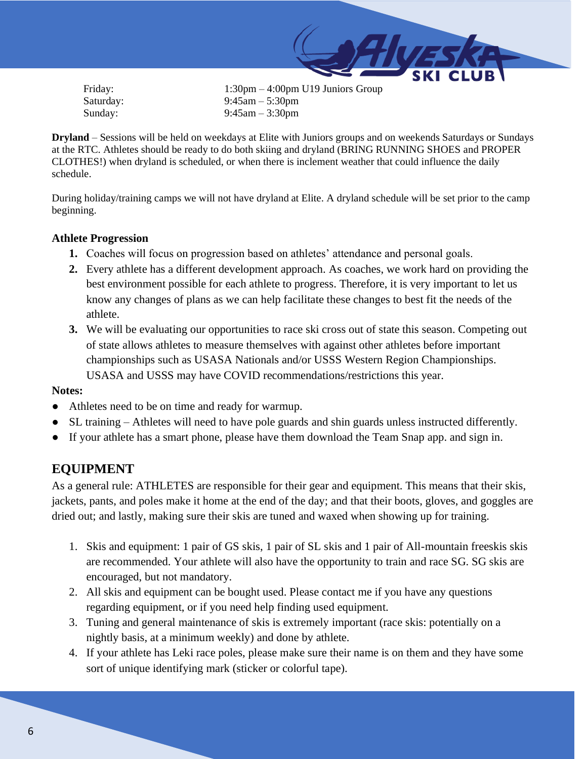

 Friday: 1:30pm – 4:00pm U19 Juniors Group Saturday: 9:45am – 5:30pm Sunday: 9:45am – 3:30pm

**Dryland** – Sessions will be held on weekdays at Elite with Juniors groups and on weekends Saturdays or Sundays at the RTC. Athletes should be ready to do both skiing and dryland (BRING RUNNING SHOES and PROPER CLOTHES!) when dryland is scheduled, or when there is inclement weather that could influence the daily schedule.

During holiday/training camps we will not have dryland at Elite. A dryland schedule will be set prior to the camp beginning.

### **Athlete Progression**

- **1.** Coaches will focus on progression based on athletes' attendance and personal goals.
- **2.** Every athlete has a different development approach. As coaches, we work hard on providing the best environment possible for each athlete to progress. Therefore, it is very important to let us know any changes of plans as we can help facilitate these changes to best fit the needs of the athlete.
- **3.** We will be evaluating our opportunities to race ski cross out of state this season. Competing out of state allows athletes to measure themselves with against other athletes before important championships such as USASA Nationals and/or USSS Western Region Championships. USASA and USSS may have COVID recommendations/restrictions this year.

#### **Notes:**

- Athletes need to be on time and ready for warmup.
- SL training Athletes will need to have pole guards and shin guards unless instructed differently.
- If your athlete has a smart phone, please have them download the Team Snap app. and sign in.

### **EQUIPMENT**

As a general rule: ATHLETES are responsible for their gear and equipment. This means that their skis, jackets, pants, and poles make it home at the end of the day; and that their boots, gloves, and goggles are dried out; and lastly, making sure their skis are tuned and waxed when showing up for training.

- 1. Skis and equipment: 1 pair of GS skis, 1 pair of SL skis and 1 pair of All-mountain freeskis skis are recommended. Your athlete will also have the opportunity to train and race SG. SG skis are encouraged, but not mandatory.
- 2. All skis and equipment can be bought used. Please contact me if you have any questions regarding equipment, or if you need help finding used equipment.
- 3. Tuning and general maintenance of skis is extremely important (race skis: potentially on a nightly basis, at a minimum weekly) and done by athlete.
- 4. If your athlete has Leki race poles, please make sure their name is on them and they have some sort of unique identifying mark (sticker or colorful tape).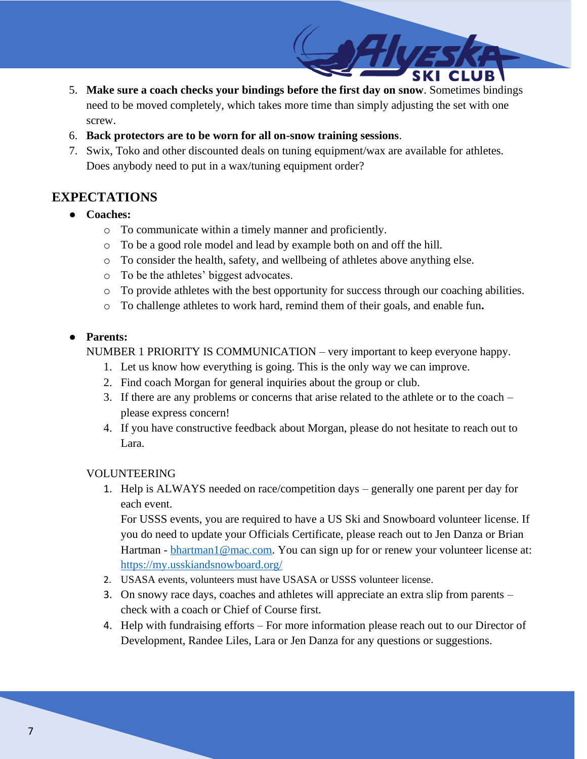- 5. **Make sure a coach checks your bindings before the first day on snow**. Sometimes bindings need to be moved completely, which takes more time than simply adjusting the set with one screw.
- 6. **Back protectors are to be worn for all on-snow training sessions**.
- 7. Swix, Toko and other discounted deals on tuning equipment/wax are available for athletes. Does anybody need to put in a wax/tuning equipment order?

### **EXPECTATIONS**

- **Coaches:**
	- o To communicate within a timely manner and proficiently.
	- o To be a good role model and lead by example both on and off the hill.
	- o To consider the health, safety, and wellbeing of athletes above anything else.
	- o To be the athletes' biggest advocates.
	- $\circ$  To provide athletes with the best opportunity for success through our coaching abilities.
	- o To challenge athletes to work hard, remind them of their goals, and enable fun**.**

### ● **Parents:**

NUMBER 1 PRIORITY IS COMMUNICATION – very important to keep everyone happy.

- 1. Let us know how everything is going. This is the only way we can improve.
- 2. Find coach Morgan for general inquiries about the group or club.
- 3. If there are any problems or concerns that arise related to the athlete or to the coach please express concern!
- 4. If you have constructive feedback about Morgan, please do not hesitate to reach out to Lara.

#### VOLUNTEERING

1. Help is ALWAYS needed on race/competition days – generally one parent per day for each event.

For USSS events, you are required to have a US Ski and Snowboard volunteer license. If you do need to update your Officials Certificate, please reach out to Jen Danza or Brian Hartman - [bhartman1@mac.com.](mailto:bhartman1@mac.com) You can sign up for or renew your volunteer license at: <https://my.usskiandsnowboard.org/>

- 2. USASA events, volunteers must have USASA or USSS volunteer license.
- 3. On snowy race days, coaches and athletes will appreciate an extra slip from parents check with a coach or Chief of Course first.
- 4. Help with fundraising efforts For more information please reach out to our Director of Development, Randee Liles, Lara or Jen Danza for any questions or suggestions.